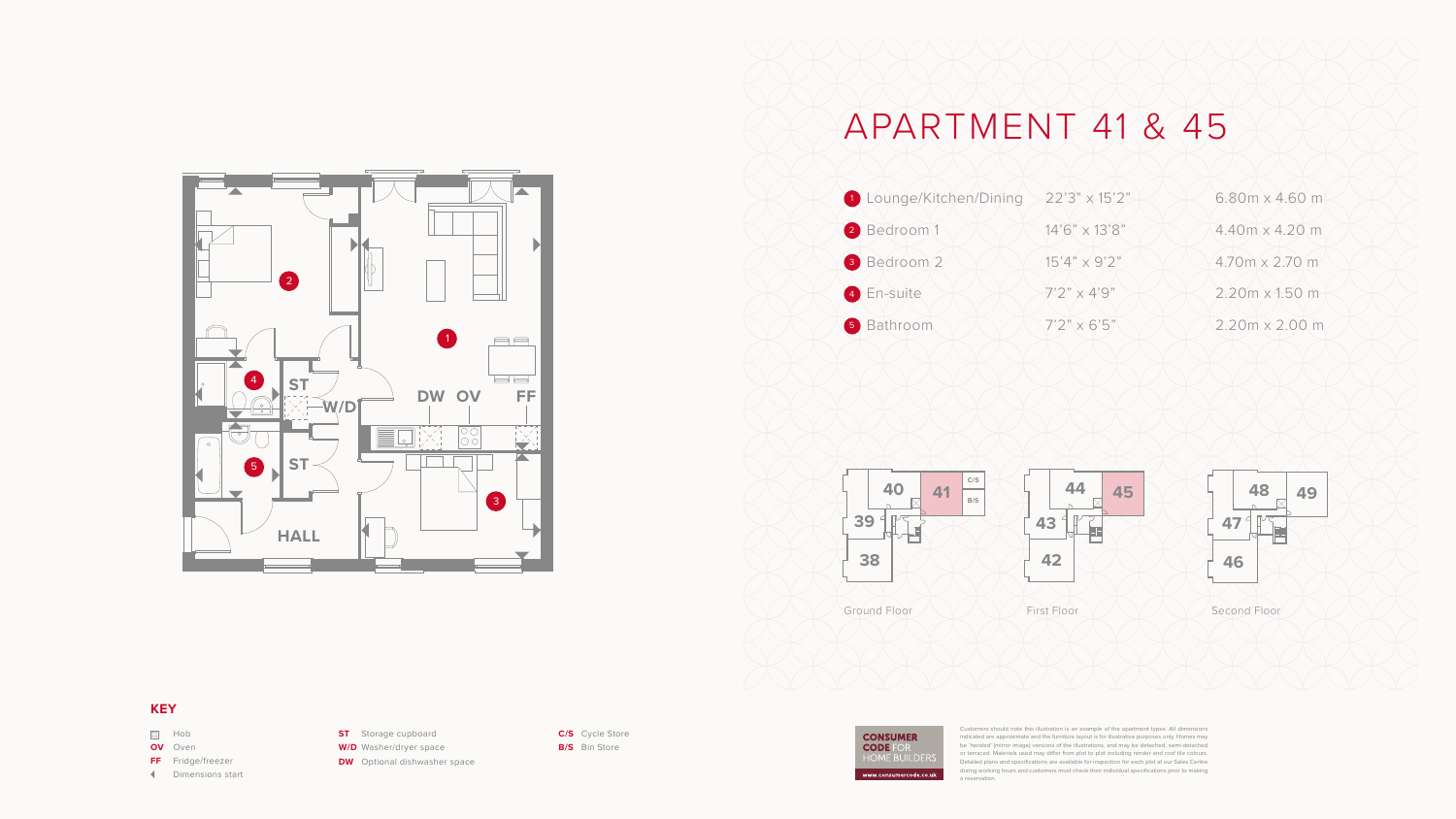## APARTMENT 41 & 45





**W/D** Washer/dryer space **DW** Optional dishwasher space





## **KEY**

| $\frac{80}{100}$ | Hob                      |
|------------------|--------------------------|
|                  | <b>OV</b> Oven           |
|                  | <b>FF</b> Fridge/freezer |
|                  | <b>Dimensions start</b>  |

**ST** Storage cupboard

**C/S** Cycle Store **B/S** Bin Store

Customers should note this illustration is an example of the apartment types. All dimensions indicated are approximate and the furniture layout is for illustrative purposes only. Homes may be 'handed' (mirror image) versions of the illustrations, and may be detached, semi-detached or terraced. Materials used may differ from plot to plot including render and roof tile colours. Detailed plans and specifications are available for inspection for each plot at our Sales Centre during working hours and customers must check their individual specifications prior to making a reservation.